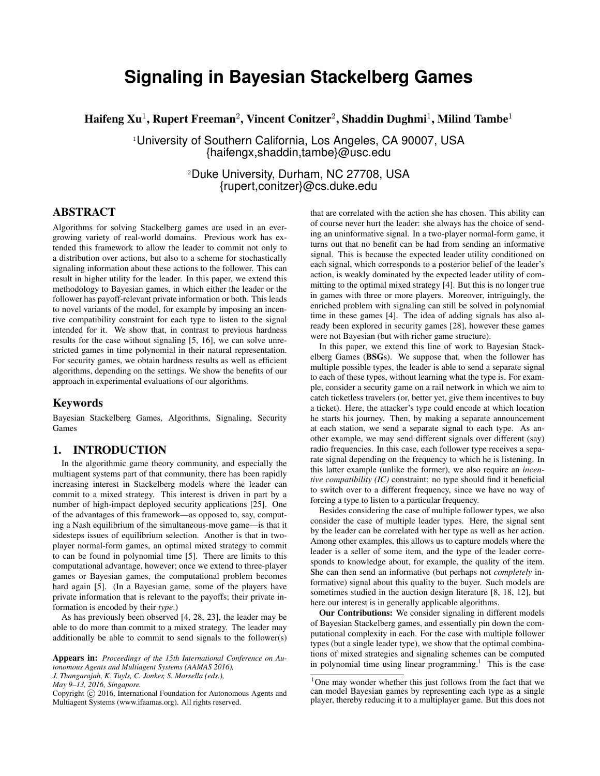# **Signaling in Bayesian Stackelberg Games**

Haifeng Xu<sup>1</sup>, Rupert Freeman<sup>2</sup>, Vincent Conitzer<sup>2</sup>, Shaddin Dughmi<sup>1</sup>, Milind Tambe<sup>1</sup>

<sup>1</sup>University of Southern California, Los Angeles, CA 90007, USA {haifengx,shaddin,tambe}@usc.edu

> <sup>2</sup>Duke University, Durham, NC 27708, USA {rupert,conitzer}@cs.duke.edu

# ABSTRACT

Algorithms for solving Stackelberg games are used in an evergrowing variety of real-world domains. Previous work has extended this framework to allow the leader to commit not only to a distribution over actions, but also to a scheme for stochastically signaling information about these actions to the follower. This can result in higher utility for the leader. In this paper, we extend this methodology to Bayesian games, in which either the leader or the follower has payoff-relevant private information or both. This leads to novel variants of the model, for example by imposing an incentive compatibility constraint for each type to listen to the signal intended for it. We show that, in contrast to previous hardness results for the case without signaling [5, 16], we can solve unrestricted games in time polynomial in their natural representation. For security games, we obtain hardness results as well as efficient algorithms, depending on the settings. We show the benefits of our approach in experimental evaluations of our algorithms.

#### Keywords

Bayesian Stackelberg Games, Algorithms, Signaling, Security Games

# 1. INTRODUCTION

In the algorithmic game theory community, and especially the multiagent systems part of that community, there has been rapidly increasing interest in Stackelberg models where the leader can commit to a mixed strategy. This interest is driven in part by a number of high-impact deployed security applications [25]. One of the advantages of this framework—as opposed to, say, computing a Nash equilibrium of the simultaneous-move game—is that it sidesteps issues of equilibrium selection. Another is that in twoplayer normal-form games, an optimal mixed strategy to commit to can be found in polynomial time [5]. There are limits to this computational advantage, however; once we extend to three-player games or Bayesian games, the computational problem becomes hard again [5]. (In a Bayesian game, some of the players have private information that is relevant to the payoffs; their private information is encoded by their *type*.)

As has previously been observed [4, 28, 23], the leader may be able to do more than commit to a mixed strategy. The leader may additionally be able to commit to send signals to the follower(s)

Appears in: *Proceedings of the 15th International Conference on Autonomous Agents and Multiagent Systems (AAMAS 2016),*

*J. Thangarajah, K. Tuyls, C. Jonker, S. Marsella (eds.),*

*May 9–13, 2016, Singapore.*

that are correlated with the action she has chosen. This ability can of course never hurt the leader: she always has the choice of sending an uninformative signal. In a two-player normal-form game, it turns out that no benefit can be had from sending an informative signal. This is because the expected leader utility conditioned on each signal, which corresponds to a posterior belief of the leader's action, is weakly dominated by the expected leader utility of committing to the optimal mixed strategy [4]. But this is no longer true in games with three or more players. Moreover, intriguingly, the enriched problem with signaling can still be solved in polynomial time in these games [4]. The idea of adding signals has also already been explored in security games [28], however these games were not Bayesian (but with richer game structure).

In this paper, we extend this line of work to Bayesian Stackelberg Games (BSGs). We suppose that, when the follower has multiple possible types, the leader is able to send a separate signal to each of these types, without learning what the type is. For example, consider a security game on a rail network in which we aim to catch ticketless travelers (or, better yet, give them incentives to buy a ticket). Here, the attacker's type could encode at which location he starts his journey. Then, by making a separate announcement at each station, we send a separate signal to each type. As another example, we may send different signals over different (say) radio frequencies. In this case, each follower type receives a separate signal depending on the frequency to which he is listening. In this latter example (unlike the former), we also require an *incentive compatibility (IC)* constraint: no type should find it beneficial to switch over to a different frequency, since we have no way of forcing a type to listen to a particular frequency.

Besides considering the case of multiple follower types, we also consider the case of multiple leader types. Here, the signal sent by the leader can be correlated with her type as well as her action. Among other examples, this allows us to capture models where the leader is a seller of some item, and the type of the leader corresponds to knowledge about, for example, the quality of the item. She can then send an informative (but perhaps not *completely* informative) signal about this quality to the buyer. Such models are sometimes studied in the auction design literature [8, 18, 12], but here our interest is in generally applicable algorithms.

Our Contributions: We consider signaling in different models of Bayesian Stackelberg games, and essentially pin down the computational complexity in each. For the case with multiple follower types (but a single leader type), we show that the optimal combinations of mixed strategies and signaling schemes can be computed in polynomial time using linear programming.<sup>1</sup> This is the case

Copyright (C) 2016, International Foundation for Autonomous Agents and Multiagent Systems (www.ifaamas.org). All rights reserved.

<sup>&</sup>lt;sup>1</sup>One may wonder whether this just follows from the fact that we can model Bayesian games by representing each type as a single player, thereby reducing it to a multiplayer game. But this does not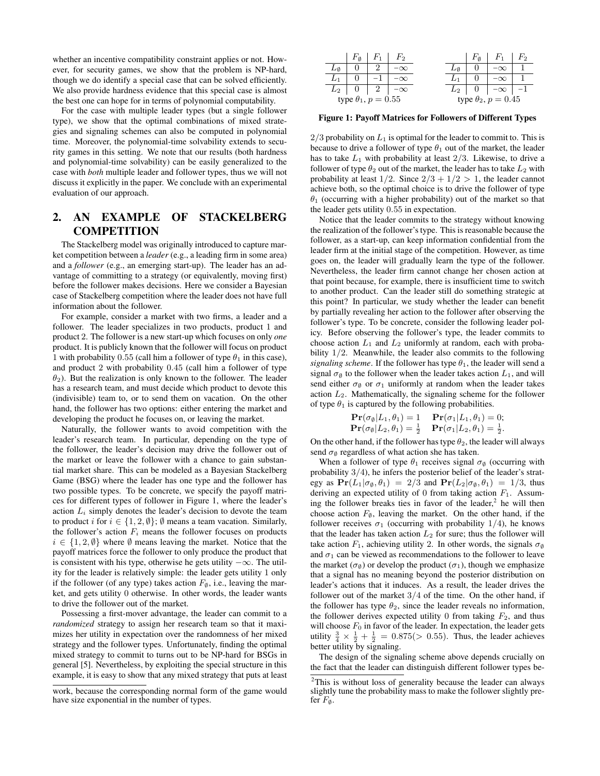whether an incentive compatibility constraint applies or not. However, for security games, we show that the problem is NP-hard, though we do identify a special case that can be solved efficiently. We also provide hardness evidence that this special case is almost the best one can hope for in terms of polynomial computability.

For the case with multiple leader types (but a single follower type), we show that the optimal combinations of mixed strategies and signaling schemes can also be computed in polynomial time. Moreover, the polynomial-time solvability extends to security games in this setting. We note that our results (both hardness and polynomial-time solvability) can be easily generalized to the case with *both* multiple leader and follower types, thus we will not discuss it explicitly in the paper. We conclude with an experimental evaluation of our approach.

# 2. AN EXAMPLE OF STACKELBERG **COMPETITION**

The Stackelberg model was originally introduced to capture market competition between a *leader* (e.g., a leading firm in some area) and a *follower* (e.g., an emerging start-up). The leader has an advantage of committing to a strategy (or equivalently, moving first) before the follower makes decisions. Here we consider a Bayesian case of Stackelberg competition where the leader does not have full information about the follower.

For example, consider a market with two firms, a leader and a follower. The leader specializes in two products, product 1 and product 2. The follower is a new start-up which focuses on only *one* product. It is publicly known that the follower will focus on product 1 with probability 0.55 (call him a follower of type  $\theta_1$  in this case), and product 2 with probability 0.45 (call him a follower of type  $\theta_2$ ). But the realization is only known to the follower. The leader has a research team, and must decide which product to devote this (indivisible) team to, or to send them on vacation. On the other hand, the follower has two options: either entering the market and developing the product he focuses on, or leaving the market.

Naturally, the follower wants to avoid competition with the leader's research team. In particular, depending on the type of the follower, the leader's decision may drive the follower out of the market or leave the follower with a chance to gain substantial market share. This can be modeled as a Bayesian Stackelberg Game (BSG) where the leader has one type and the follower has two possible types. To be concrete, we specify the payoff matrices for different types of follower in Figure 1, where the leader's action  $L_i$  simply denotes the leader's decision to devote the team to product i for  $i \in \{1, 2, \emptyset\}$ ;  $\emptyset$  means a team vacation. Similarly, the follower's action  $F_i$  means the follower focuses on products  $i \in \{1, 2, \emptyset\}$  where  $\emptyset$  means leaving the market. Notice that the payoff matrices force the follower to only produce the product that is consistent with his type, otherwise he gets utility  $-\infty$ . The utility for the leader is relatively simple: the leader gets utility 1 only if the follower (of any type) takes action  $F_{\emptyset}$ , i.e., leaving the market, and gets utility 0 otherwise. In other words, the leader wants to drive the follower out of the market.

Possessing a first-mover advantage, the leader can commit to a *randomized* strategy to assign her research team so that it maximizes her utility in expectation over the randomness of her mixed strategy and the follower types. Unfortunately, finding the optimal mixed strategy to commit to turns out to be NP-hard for BSGs in general [5]. Nevertheless, by exploiting the special structure in this example, it is easy to show that any mixed strategy that puts at least

work, because the corresponding normal form of the game would have size exponential in the number of types.

|                              | $F_{\emptyset}$ |  | $F_{2}$       |                              | $F_{\emptyset}$ | $F_1$     | $F_2$ |
|------------------------------|-----------------|--|---------------|------------------------------|-----------------|-----------|-------|
|                              |                 |  |               |                              |                 |           |       |
|                              |                 |  |               |                              |                 |           |       |
| $L_2$                        | 0               |  | 2   $-\infty$ | $L_2$                        |                 | $-\infty$ |       |
| type $\theta_1$ , $p = 0.55$ |                 |  |               | type $\theta_2$ , $p = 0.45$ |                 |           |       |

Figure 1: Payoff Matrices for Followers of Different Types

 $2/3$  probability on  $L_1$  is optimal for the leader to commit to. This is because to drive a follower of type  $\theta_1$  out of the market, the leader has to take  $L_1$  with probability at least  $2/3$ . Likewise, to drive a follower of type  $\theta_2$  out of the market, the leader has to take  $L_2$  with probability at least  $1/2$ . Since  $2/3 + 1/2 > 1$ , the leader cannot achieve both, so the optimal choice is to drive the follower of type  $\theta_1$  (occurring with a higher probability) out of the market so that the leader gets utility 0.55 in expectation.

Notice that the leader commits to the strategy without knowing the realization of the follower's type. This is reasonable because the follower, as a start-up, can keep information confidential from the leader firm at the initial stage of the competition. However, as time goes on, the leader will gradually learn the type of the follower. Nevertheless, the leader firm cannot change her chosen action at that point because, for example, there is insufficient time to switch to another product. Can the leader still do something strategic at this point? In particular, we study whether the leader can benefit by partially revealing her action to the follower after observing the follower's type. To be concrete, consider the following leader policy. Before observing the follower's type, the leader commits to choose action  $L_1$  and  $L_2$  uniformly at random, each with probability 1/2. Meanwhile, the leader also commits to the following *signaling scheme*. If the follower has type  $\theta_1$ , the leader will send a signal  $\sigma_{\emptyset}$  to the follower when the leader takes action  $L_1$ , and will send either  $\sigma_{\emptyset}$  or  $\sigma_1$  uniformly at random when the leader takes action  $L_2$ . Mathematically, the signaling scheme for the follower of type  $\theta_1$  is captured by the following probabilities.

$$
\begin{array}{ll}\n\mathbf{Pr}(\sigma_{\emptyset}|L_1,\theta_1) = 1 & \mathbf{Pr}(\sigma_1|L_1,\theta_1) = 0; \\
\mathbf{Pr}(\sigma_{\emptyset}|L_2,\theta_1) = \frac{1}{2} & \mathbf{Pr}(\sigma_1|L_2,\theta_1) = \frac{1}{2}.\n\end{array}
$$

On the other hand, if the follower has type  $\theta_2$ , the leader will always send  $\sigma_{\emptyset}$  regardless of what action she has taken.

When a follower of type  $\theta_1$  receives signal  $\sigma_{\emptyset}$  (occurring with probability 3/4), he infers the posterior belief of the leader's strategy as  $Pr(L_1|\sigma_{\emptyset}, \theta_1) = 2/3$  and  $Pr(L_2|\sigma_{\emptyset}, \theta_1) = 1/3$ , thus deriving an expected utility of 0 from taking action  $F_1$ . Assuming the follower breaks ties in favor of the leader, $<sup>2</sup>$  he will then</sup> choose action  $F_{\emptyset}$ , leaving the market. On the other hand, if the follower receives  $\sigma_1$  (occurring with probability 1/4), he knows that the leader has taken action  $L_2$  for sure; thus the follower will take action  $F_1$ , achieving utility 2. In other words, the signals  $\sigma_{\emptyset}$ and  $\sigma_1$  can be viewed as recommendations to the follower to leave the market ( $\sigma_{\emptyset}$ ) or develop the product ( $\sigma_1$ ), though we emphasize that a signal has no meaning beyond the posterior distribution on leader's actions that it induces. As a result, the leader drives the follower out of the market  $3/4$  of the time. On the other hand, if the follower has type  $\theta_2$ , since the leader reveals no information, the follower derives expected utility 0 from taking  $F_2$ , and thus will choose  $F_0$  in favor of the leader. In expectation, the leader gets utility  $\frac{3}{4} \times \frac{1}{2} + \frac{1}{2} = 0.875(> 0.55)$ . Thus, the leader achieves better utility by signaling.

The design of the signaling scheme above depends crucially on the fact that the leader can distinguish different follower types be-

<sup>2</sup>This is without loss of generality because the leader can always slightly tune the probability mass to make the follower slightly prefer  $F_{\emptyset}$ .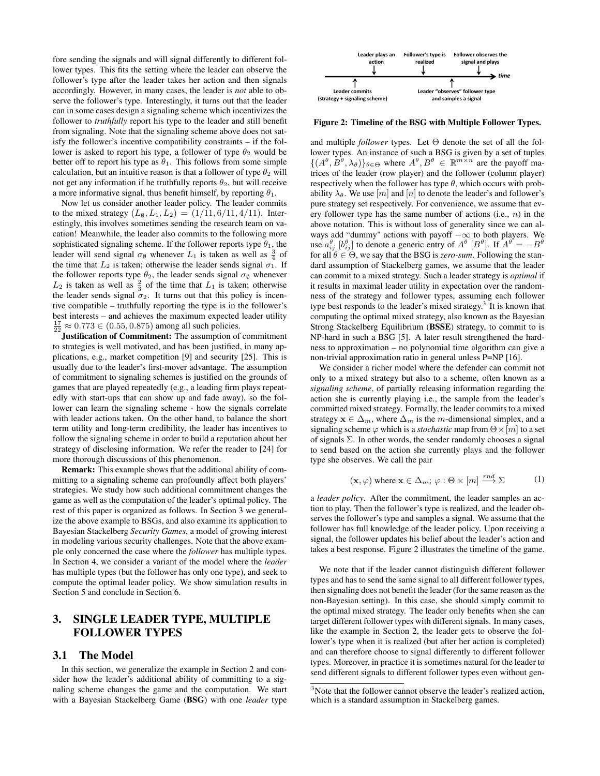fore sending the signals and will signal differently to different follower types. This fits the setting where the leader can observe the follower's type after the leader takes her action and then signals accordingly. However, in many cases, the leader is *not* able to observe the follower's type. Interestingly, it turns out that the leader can in some cases design a signaling scheme which incentivizes the follower to *truthfully* report his type to the leader and still benefit from signaling. Note that the signaling scheme above does not satisfy the follower's incentive compatibility constraints – if the follower is asked to report his type, a follower of type  $\theta_2$  would be better off to report his type as  $\theta_1$ . This follows from some simple calculation, but an intuitive reason is that a follower of type  $\theta_2$  will not get any information if he truthfully reports  $\theta_2$ , but will receive a more informative signal, thus benefit himself, by reporting  $\theta_1$ .

Now let us consider another leader policy. The leader commits to the mixed strategy  $(L_{\emptyset}, L_1, L_2) = (1/11, 6/11, 4/11)$ . Interestingly, this involves sometimes sending the research team on vacation! Meanwhile, the leader also commits to the following more sophisticated signaling scheme. If the follower reports type  $\theta_1$ , the leader will send signal  $\sigma_{\emptyset}$  whenever  $L_1$  is taken as well as  $\frac{3}{4}$  of the time that  $L_2$  is taken; otherwise the leader sends signal  $\sigma_1$ . If the follower reports type  $\theta_2$ , the leader sends signal  $\sigma_{\emptyset}$  whenever  $L_2$  is taken as well as  $\frac{2}{3}$  of the time that  $L_1$  is taken; otherwise the leader sends signal  $\sigma_2$ . It turns out that this policy is incentive compatible – truthfully reporting the type is in the follower's best interests – and achieves the maximum expected leader utility  $\frac{17}{22} \approx 0.773 \in (0.55, 0.875)$  among all such policies.

Justification of Commitment: The assumption of commitment to strategies is well motivated, and has been justified, in many applications, e.g., market competition [9] and security [25]. This is usually due to the leader's first-mover advantage. The assumption of commitment to signaling schemes is justified on the grounds of games that are played repeatedly (e.g., a leading firm plays repeatedly with start-ups that can show up and fade away), so the follower can learn the signaling scheme - how the signals correlate with leader actions taken. On the other hand, to balance the short term utility and long-term credibility, the leader has incentives to follow the signaling scheme in order to build a reputation about her strategy of disclosing information. We refer the reader to [24] for more thorough discussions of this phenomenon.

Remark: This example shows that the additional ability of committing to a signaling scheme can profoundly affect both players' strategies. We study how such additional commitment changes the game as well as the computation of the leader's optimal policy. The rest of this paper is organized as follows. In Section 3 we generalize the above example to BSGs, and also examine its application to Bayesian Stackelberg *Security Games*, a model of growing interest in modeling various security challenges. Note that the above example only concerned the case where the *follower* has multiple types. In Section 4, we consider a variant of the model where the *leader* has multiple types (but the follower has only one type), and seek to compute the optimal leader policy. We show simulation results in Section 5 and conclude in Section 6.

# 3. SINGLE LEADER TYPE, MULTIPLE FOLLOWER TYPES

#### 3.1 The Model

In this section, we generalize the example in Section 2 and consider how the leader's additional ability of committing to a signaling scheme changes the game and the computation. We start with a Bayesian Stackelberg Game (BSG) with one *leader* type



Figure 2: Timeline of the BSG with Multiple Follower Types.

lower types. An instance of such a BSG is given by a set of tuples and multiple *follower* types. Let  $\Theta$  denote the set of all the fol- $\{(A^{\theta}, B^{\theta}, \lambda_{\theta})\}_{\theta \in \Theta}$  where  $A^{\theta}, B^{\theta} \in \mathbb{R}^{m \times n}$  are the payoff matrices of the leader (row player) and the follower (column player) respectively when the follower has type  $\theta$ , which occurs with probability  $\lambda_{\theta}$ . We use  $[m]$  and  $[n]$  to denote the leader's and follower's pure strategy set respectively. For convenience, we assume that every follower type has the same number of actions (i.e.,  $n$ ) in the above notation. This is without loss of generality since we can always add "dummy" actions with payoff −∞ to both players. We use  $a_{ij}^{\theta}$   $[b_{ij}^{\theta}]$  to denote a generic entry of  $A^{\theta}$   $[B^{\theta}]$ . If  $A^{\theta} = -B^{\theta}$ for all  $\theta \in \Theta$ , we say that the BSG is *zero-sum*. Following the standard assumption of Stackelberg games, we assume that the leader can commit to a mixed strategy. Such a leader strategy is *optimal* if it results in maximal leader utility in expectation over the randomness of the strategy and follower types, assuming each follower type best responds to the leader's mixed strategy.<sup>3</sup> It is known that computing the optimal mixed strategy, also known as the Bayesian Strong Stackelberg Equilibrium (BSSE) strategy, to commit to is NP-hard in such a BSG [5]. A later result strengthened the hardness to approximation – no polynomial time algorithm can give a non-trivial approximation ratio in general unless P=NP [16].

We consider a richer model where the defender can commit not only to a mixed strategy but also to a scheme, often known as a *signaling scheme*, of partially releasing information regarding the action she is currently playing i.e., the sample from the leader's committed mixed strategy. Formally, the leader commits to a mixed strategy  $x \in \Delta_m$ , where  $\Delta_m$  is the m-dimensional simplex, and a signaling scheme  $\varphi$  which is a *stochastic* map from  $\Theta \times [m]$  to a set of signals  $\Sigma$ . In other words, the sender randomly chooses a signal to send based on the action she currently plays and the follower type she observes. We call the pair

$$
(\mathbf{x}, \varphi)
$$
 where  $\mathbf{x} \in \Delta_m$ ;  $\varphi : \Theta \times [m] \xrightarrow{rnd} \Sigma$  (1)

a *leader policy*. After the commitment, the leader samples an action to play. Then the follower's type is realized, and the leader observes the follower's type and samples a signal. We assume that the follower has full knowledge of the leader policy. Upon receiving a signal, the follower updates his belief about the leader's action and takes a best response. Figure 2 illustrates the timeline of the game.

We note that if the leader cannot distinguish different follower types and has to send the same signal to all different follower types, then signaling does not benefit the leader (for the same reason as the non-Bayesian setting). In this case, she should simply commit to the optimal mixed strategy. The leader only benefits when she can target different follower types with different signals. In many cases, like the example in Section 2, the leader gets to observe the follower's type when it is realized (but after her action is completed) and can therefore choose to signal differently to different follower types. Moreover, in practice it is sometimes natural for the leader to send different signals to different follower types even without gen-

<sup>&</sup>lt;sup>3</sup>Note that the follower cannot observe the leader's realized action, which is a standard assumption in Stackelberg games.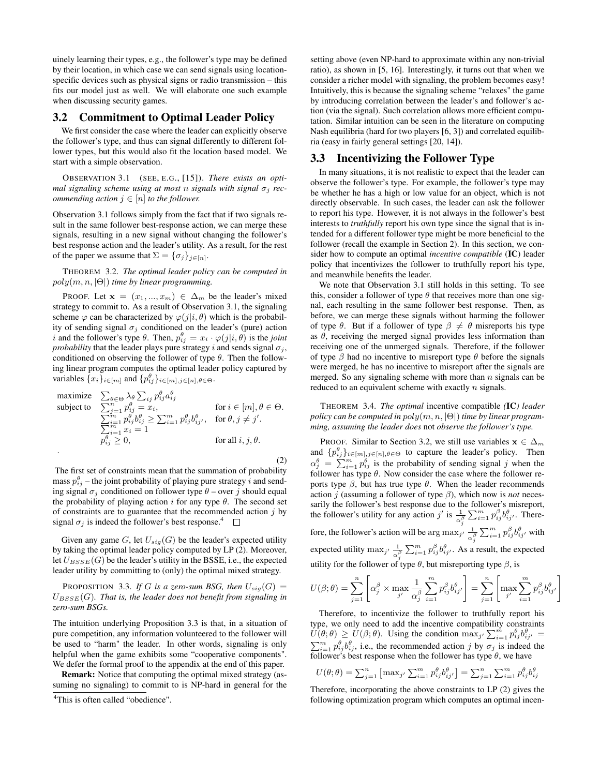uinely learning their types, e.g., the follower's type may be defined by their location, in which case we can send signals using locationspecific devices such as physical signs or radio transmission – this fits our model just as well. We will elaborate one such example when discussing security games.

#### 3.2 Commitment to Optimal Leader Policy

We first consider the case where the leader can explicitly observe the follower's type, and thus can signal differently to different follower types, but this would also fit the location based model. We start with a simple observation.

OBSERVATION 3.1 (SEE, E.G., [15]). *There exists an optimal signaling scheme using at most n signals with signal*  $\sigma_i$  *recommending action*  $j \in [n]$  *to the follower.* 

Observation 3.1 follows simply from the fact that if two signals result in the same follower best-response action, we can merge these signals, resulting in a new signal without changing the follower's best response action and the leader's utility. As a result, for the rest of the paper we assume that  $\Sigma = {\{\sigma_j\}}_{j \in [n]}$ .

THEOREM 3.2. *The optimal leader policy can be computed in* poly(m, n, |Θ|) *time by linear programming.*

PROOF. Let  $\mathbf{x} = (x_1, ..., x_m) \in \Delta_m$  be the leader's mixed strategy to commit to. As a result of Observation 3.1, the signaling scheme  $\varphi$  can be characterized by  $\varphi(j|i, \theta)$  which is the probability of sending signal  $\sigma_j$  conditioned on the leader's (pure) action i and the follower's type  $\theta$ . Then,  $p_{ij}^{\theta} = x_i \cdot \varphi(j|i, \theta)$  is the *joint probability* that the leader plays pure strategy i and sends signal  $\sigma_i$ , conditioned on observing the follower of type  $\theta$ . Then the following linear program computes the optimal leader policy captured by variables  $\{x_i\}_{i \in [m]}$  and  $\{p_{ij}^{\theta}\}_{i \in [m], j \in [n], \theta \in \Theta}$ .

$$
\begin{array}{ll}\text{maximize} & \sum_{\theta \in \Theta} \lambda_{\theta} \sum_{ij} p_{ij}^{\theta} a_{ij}^{\theta} \\ \text{subject to} & \sum_{j=1}^{n} p_{ij}^{\theta} = x_{i}, \\ & \sum_{i=1}^{m} p_{ij}^{\theta} b_{ij}^{\theta} \geq \sum_{i=1}^{m} p_{ij}^{\theta} b_{ij}^{\theta}, \quad \text{for } \theta, j \neq j' . \\ & \sum_{j=1}^{m} x_{i} = 1 \\ & p_{ij}^{\theta} \geq 0, \quad \text{for all } i, j, \theta. \end{array}
$$

(2)

The first set of constraints mean that the summation of probability mass  $p_{ij}^{\theta}$  – the joint probability of playing pure strategy i and sending signal  $\sigma_i$  conditioned on follower type  $\theta$  – over j should equal the probability of playing action i for any type  $\theta$ . The second set of constraints are to guarantee that the recommended action  $j$  by signal  $\sigma_j$  is indeed the follower's best response.<sup>4</sup>  $\Box$ 

Given any game G, let  $U_{sig}(G)$  be the leader's expected utility by taking the optimal leader policy computed by LP (2). Moreover, let  $U_{BSSE}(G)$  be the leader's utility in the BSSE, i.e., the expected leader utility by committing to (only) the optimal mixed strategy.

PROPOSITION 3.3. *If* G *is a zero-sum BSG, then*  $U_{\text{sig}}(G)$  =  $U_{BSSE}(G)$ *. That is, the leader does not benefit from signaling in zero-sum BSGs.*

The intuition underlying Proposition 3.3 is that, in a situation of pure competition, any information volunteered to the follower will be used to "harm" the leader. In other words, signaling is only helpful when the game exhibits some "cooperative components". We defer the formal proof to the appendix at the end of this paper.

Remark: Notice that computing the optimal mixed strategy (assuming no signaling) to commit to is NP-hard in general for the setting above (even NP-hard to approximate within any non-trivial ratio), as shown in [5, 16]. Interestingly, it turns out that when we consider a richer model with signaling, the problem becomes easy! Intuitively, this is because the signaling scheme "relaxes" the game by introducing correlation between the leader's and follower's action (via the signal). Such correlation allows more efficient computation. Similar intuition can be seen in the literature on computing Nash equilibria (hard for two players [6, 3]) and correlated equilibria (easy in fairly general settings [20, 14]).

#### 3.3 Incentivizing the Follower Type

In many situations, it is not realistic to expect that the leader can observe the follower's type. For example, the follower's type may be whether he has a high or low value for an object, which is not directly observable. In such cases, the leader can ask the follower to report his type. However, it is not always in the follower's best interests to *truthfully* report his own type since the signal that is intended for a different follower type might be more beneficial to the follower (recall the example in Section 2). In this section, we consider how to compute an optimal *incentive compatible* (IC) leader policy that incentivizes the follower to truthfully report his type, and meanwhile benefits the leader.

We note that Observation 3.1 still holds in this setting. To see this, consider a follower of type  $\theta$  that receives more than one signal, each resulting in the same follower best response. Then, as before, we can merge these signals without harming the follower of type  $\theta$ . But if a follower of type  $\beta \neq \theta$  misreports his type as  $\theta$ , receiving the merged signal provides less information than receiving one of the unmerged signals. Therefore, if the follower of type  $\beta$  had no incentive to misreport type  $\theta$  before the signals were merged, he has no incentive to misreport after the signals are merged. So any signaling scheme with more than  $n$  signals can be reduced to an equivalent scheme with exactly  $n$  signals.

THEOREM 3.4. *The optimal* incentive compatible *(*IC*) leader policy can be computed in* poly(m, n, |Θ|) *time by linear programming, assuming the leader does* not *observe the follower's type.*

PROOF. Similar to Section 3.2, we still use variables  $x \in \Delta_m$ and  $\{p_{ij}^{\theta}\}_{i \in [m], j \in [n], \theta \in \Theta}$  to capture the leader's policy. Then  $\alpha_j^{\theta} = \sum_{i=1}^m p_{ij}^{\theta}$  is the probability of sending signal j when the follower has type  $\theta$ . Now consider the case where the follower reports type  $\beta$ , but has true type  $\theta$ . When the leader recommends action  $j$  (assuming a follower of type  $\beta$ ), which now is *not* necessarily the follower's best response due to the follower's misreport, the follower's utility for any action j' is  $\frac{1}{\alpha_j^{\beta}} \sum_{i=1}^m p_{ij}^{\beta} b_{ij}^{\theta}$ . Therefore, the follower's action will be  $\arg \max_{j'} \frac{1}{j}$  $\frac{1}{\alpha^\beta_j}\sum_{i=1}^m p_{ij}^\beta b_{ij}^\theta$ , with expected utility  $\max_{j'} \frac{1}{j}$  $\frac{1}{\alpha_i^{\beta}} \sum_{i=1}^m p_{ij}^{\beta} b_{ij}^{\theta}$ . As a result, the expected utility for the follower of type  $\theta$ , but misreporting type  $\beta$ , is

$$
U(\beta; \theta) = \sum_{j=1}^{n} \left[ \alpha_j^{\beta} \times \max_{j'} \frac{1}{\alpha_j^{\beta}} \sum_{i=1}^{m} p_{ij}^{\beta} b_{ij'}^{\theta} \right] = \sum_{j=1}^{n} \left[ \max_{j'} \sum_{i=1}^{m} p_{ij}^{\beta} b_{ij'}^{\theta} \right]
$$

Therefore, to incentivize the follower to truthfully report his type, we only need to add the incentive compatibility constraints  $U(\theta;\theta) \ge U(\beta;\theta)$ . Using the condition  $\max_{j'} \sum_{i=1}^m p_{ij}^{\theta} b_{ij'}^{\theta} =$  $\sum_{i=1}^{m} p_{ij}^{\theta} b_{ij}^{\theta}$ , i.e., the recommended action j by  $\sigma_j$  is indeed the follower's best response when the follower has type  $\theta$ , we have

$$
U(\theta; \theta) = \sum_{j=1}^{n} \left[ \max_{j'} \sum_{i=1}^{m} p_{ij}^{\theta} b_{ij'}^{\theta} \right] = \sum_{j=1}^{n} \sum_{i=1}^{m} p_{ij}^{\theta} b_{ij}^{\theta}
$$

Therefore, incorporating the above constraints to LP (2) gives the following optimization program which computes an optimal incen-

<sup>4</sup>This is often called "obedience".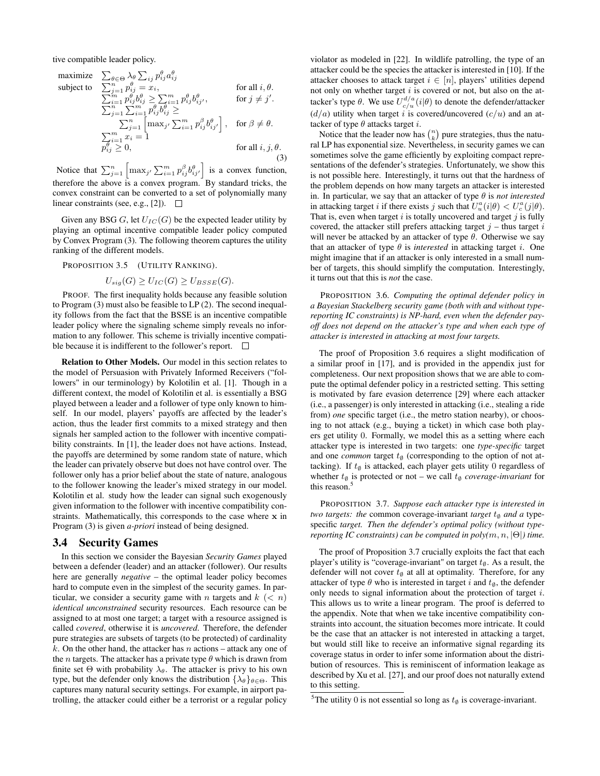tive compatible leader policy.

maximize 
$$
\sum_{\theta \in \Theta} \lambda_{\theta} \sum_{ij} p_{ij}^{\theta} a_{ij}^{\theta}
$$
  
\nsubject to 
$$
\sum_{j=1}^{n} p_{ij}^{\theta} = x_i, \qquad \text{for all } i, \theta.
$$

$$
\sum_{i=1}^{m} p_{ij}^{\theta} b_{ij}^{\theta} \ge \sum_{i=1}^{m} p_{ij}^{\theta} b_{ij}^{\theta}, \qquad \text{for } j \neq j'.
$$

$$
\sum_{j=1}^{n} \sum_{i=1}^{m} p_{ij}^{\theta} b_{ij}^{\theta} \ge \sum_{j=1}^{m} \left[ \max_{j'} \sum_{i=1}^{m} p_{ij}^{\beta} b_{ij'}^{\theta} \right], \quad \text{for } \beta \neq \theta.
$$

$$
\sum_{j=1}^{n} x_i = 1
$$

$$
p_{ij}^{\theta} \ge 0, \qquad \text{for all } i, j, \theta.
$$

$$
(3)
$$

Notice that  $\sum_{j=1}^n \left[ \max_{j'} \sum_{i=1}^m p_{ij}^{\beta} b_{ij'}^{\theta} \right]$  is a convex function, therefore the above is a convex program. By standard tricks, the convex constraint can be converted to a set of polynomially many linear constraints (see, e.g., [2]).  $\Box$ 

Given any BSG G, let  $U_{IC}(G)$  be the expected leader utility by playing an optimal incentive compatible leader policy computed by Convex Program (3). The following theorem captures the utility ranking of the different models.

PROPOSITION 3.5 (UTILITY RANKING).

$$
U_{sig}(G) \ge U_{IC}(G) \ge U_{BSSE}(G).
$$

PROOF. The first inequality holds because any feasible solution to Program (3) must also be feasible to LP (2). The second inequality follows from the fact that the BSSE is an incentive compatible leader policy where the signaling scheme simply reveals no information to any follower. This scheme is trivially incentive compatible because it is indifferent to the follower's report.  $\Box$ 

Relation to Other Models. Our model in this section relates to the model of Persuasion with Privately Informed Receivers ("followers" in our terminology) by Kolotilin et al. [1]. Though in a different context, the model of Kolotilin et al. is essentially a BSG played between a leader and a follower of type only known to himself. In our model, players' payoffs are affected by the leader's action, thus the leader first commits to a mixed strategy and then signals her sampled action to the follower with incentive compatibility constraints. In [1], the leader does not have actions. Instead, the payoffs are determined by some random state of nature, which the leader can privately observe but does not have control over. The follower only has a prior belief about the state of nature, analogous to the follower knowing the leader's mixed strategy in our model. Kolotilin et al. study how the leader can signal such exogenously given information to the follower with incentive compatibility constraints. Mathematically, this corresponds to the case where x in Program (3) is given *a-priori* instead of being designed.

#### 3.4 Security Games

In this section we consider the Bayesian *Security Games* played between a defender (leader) and an attacker (follower). Our results here are generally *negative* – the optimal leader policy becomes hard to compute even in the simplest of the security games. In particular, we consider a security game with n targets and  $k \leq n$ *identical unconstrained* security resources. Each resource can be assigned to at most one target; a target with a resource assigned is called *covered*, otherwise it is *uncovered*. Therefore, the defender pure strategies are subsets of targets (to be protected) of cardinality k. On the other hand, the attacker has n actions – attack any one of the *n* targets. The attacker has a private type  $\theta$  which is drawn from finite set  $\Theta$  with probability  $\lambda_{\theta}$ . The attacker is privy to his own type, but the defender only knows the distribution  $\{\lambda_{\theta}\}_{\theta \in \Theta}$ . This captures many natural security settings. For example, in airport patrolling, the attacker could either be a terrorist or a regular policy

violator as modeled in [22]. In wildlife patrolling, the type of an attacker could be the species the attacker is interested in [10]. If the attacker chooses to attack target  $i \in [n]$ , players' utilities depend not only on whether target  $i$  is covered or not, but also on the attacker's type  $\theta$ . We use  $U_{c/u}^{d/a}(i|\theta)$  to denote the defender/attacker  $(d/a)$  utility when target i is covered/uncovered  $(c/u)$  and an attacker of type  $\theta$  attacks target *i*.

Notice that the leader now has  $\binom{n}{k}$  pure strategies, thus the natural LP has exponential size. Nevertheless, in security games we can sometimes solve the game efficiently by exploiting compact representations of the defender's strategies. Unfortunately, we show this is not possible here. Interestingly, it turns out that the hardness of the problem depends on how many targets an attacker is interested in. In particular, we say that an attacker of type  $\theta$  is *not interested* in attacking target i if there exists j such that  $U_u^a(i|\theta) < U_c^a(j|\theta)$ . That is, even when target  $i$  is totally uncovered and target  $j$  is fully covered, the attacker still prefers attacking target  $j$  – thus target  $i$ will never be attacked by an attacker of type  $\theta$ . Otherwise we say that an attacker of type  $\theta$  is *interested* in attacking target *i*. One might imagine that if an attacker is only interested in a small number of targets, this should simplify the computation. Interestingly, it turns out that this is *not* the case.

PROPOSITION 3.6. *Computing the optimal defender policy in a Bayesian Stackelberg security game (both with and without typereporting IC constraints) is NP-hard, even when the defender payoff does not depend on the attacker's type and when each type of attacker is interested in attacking at most four targets.*

The proof of Proposition 3.6 requires a slight modification of a similar proof in [17], and is provided in the appendix just for completeness. Our next proposition shows that we are able to compute the optimal defender policy in a restricted setting. This setting is motivated by fare evasion deterrence [29] where each attacker (i.e., a passenger) is only interested in attacking (i.e., stealing a ride from) *one* specific target (i.e., the metro station nearby), or choosing to not attack (e.g., buying a ticket) in which case both players get utility 0. Formally, we model this as a setting where each attacker type is interested in two targets: one *type-specific* target and one *common* target  $t$ <sup> $\emptyset$ </sup> (corresponding to the option of not attacking). If  $t$ <sup>0</sup> is attacked, each player gets utility 0 regardless of whether  $t$ <sup>ø</sup> is protected or not – we call  $t$ <sup>ø</sup> *coverage-invariant* for this reason.<sup>5</sup>

PROPOSITION 3.7. *Suppose each attacker type is interested in two targets: the common coverage-invariant <i>target*  $t_{\emptyset}$  *and a type*specific *target. Then the defender's optimal policy (without typereporting IC constraints) can be computed in poly* $(m, n, |\Theta|)$  *time.* 

The proof of Proposition 3.7 crucially exploits the fact that each player's utility is "coverage-invariant" on target  $t$ <sup>0</sup>. As a result, the defender will not cover  $t$ <sup>0</sup> at all at optimality. Therefore, for any attacker of type  $\theta$  who is interested in target i and  $t_{\emptyset}$ , the defender only needs to signal information about the protection of target i. This allows us to write a linear program. The proof is deferred to the appendix. Note that when we take incentive compatibility constraints into account, the situation becomes more intricate. It could be the case that an attacker is not interested in attacking a target, but would still like to receive an informative signal regarding its coverage status in order to infer some information about the distribution of resources. This is reminiscent of information leakage as described by Xu et al. [27], and our proof does not naturally extend to this setting.

<sup>&</sup>lt;sup>5</sup>The utility 0 is not essential so long as  $t_{\emptyset}$  is coverage-invariant.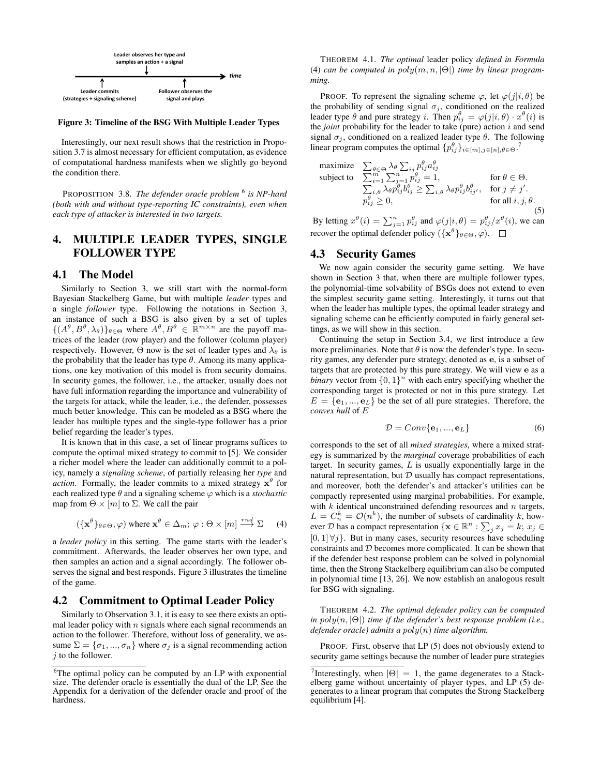

Figure 3: Timeline of the BSG With Multiple Leader Types

2 sition 3.7 is almost necessary for efficient computation, as evidence Interestingly, our next result shows that the restriction in Propoof computational hardness manifests when we slightly go beyond the condition there.

PROPOSITION 3.8. *The defender oracle problem* <sup>6</sup> *is NP-hard (both with and without type-reporting IC constraints), even when each type of attacker is interested in two targets.*

# 4. MULTIPLE LEADER TYPES, SINGLE FOLLOWER TYPE

## 4.1 The Model

Similarly to Section 3, we still start with the normal-form Bayesian Stackelberg Game, but with multiple *leader* types and a single *follower* type. Following the notations in Section 3, an instance of such a BSG is also given by a set of tuples  $\{(A^{\theta}, B^{\theta}, \lambda_{\theta})\}_{\theta \in \Theta}$  where  $A^{\theta}, B^{\theta} \in \mathbb{R}^{m \times n}$  are the payoff matrices of the leader (row player) and the follower (column player) respectively. However,  $\Theta$  now is the set of leader types and  $\lambda_{\theta}$  is the probability that the leader has type  $\theta$ . Among its many applications, one key motivation of this model is from security domains. In security games, the follower, i.e., the attacker, usually does not have full information regarding the importance and vulnerability of the targets for attack, while the leader, i.e., the defender, possesses much better knowledge. This can be modeled as a BSG where the leader has multiple types and the single-type follower has a prior belief regarding the leader's types.

It is known that in this case, a set of linear programs suffices to compute the optimal mixed strategy to commit to [5]. We consider a richer model where the leader can additionally commit to a policy, namely a *signaling scheme*, of partially releasing her *type* and *action*. Formally, the leader commits to a mixed strategy  $x^{\theta}$  for each realized type  $\theta$  and a signaling scheme  $\varphi$  which is a *stochastic* map from  $\Theta \times [m]$  to  $\Sigma$ . We call the pair

$$
(\{\mathbf{x}^{\theta}\}_{\theta \in \Theta}, \varphi) \text{ where } \mathbf{x}^{\theta} \in \Delta_m; \varphi : \Theta \times [m] \xrightarrow{rnd} \Sigma \qquad (4)
$$

a *leader policy* in this setting. The game starts with the leader's commitment. Afterwards, the leader observes her own type, and then samples an action and a signal accordingly. The follower observes the signal and best responds. Figure 3 illustrates the timeline of the game.

#### 4.2 Commitment to Optimal Leader Policy

Similarly to Observation 3.1, it is easy to see there exists an optimal leader policy with  $n$  signals where each signal recommends an action to the follower. Therefore, without loss of generality, we assume  $\Sigma = {\sigma_1, ..., \sigma_n}$  where  $\sigma_j$  is a signal recommending action  $j$  to the follower.

THEOREM 4.1. *The optimal* leader policy *defined in Formula* (4) *can be computed in* poly(m, n, |Θ|) *time by linear programming.*

PROOF. To represent the signaling scheme  $\varphi$ , let  $\varphi(j|i, \theta)$  be the probability of sending signal  $\sigma_j$ , conditioned on the realized leader type  $\theta$  and pure strategy i. Then  $p_{ij}^{\theta} = \varphi(j|i, \theta) \cdot x^{\theta}(i)$  is the *joint* probability for the leader to take (pure) action i and send signal  $\sigma_j$ , conditioned on a realized leader type  $\theta$ . The following linear program computes the optimal  $\{p_{ij}^{\theta}\}_{i \in [m], j \in [n], \theta \in \Theta}$ .

maximize 
$$
\sum_{\theta \in \Theta} \lambda_{\theta} \sum_{ij} p_{ij}^{\theta} a_{ij}^{\theta}
$$
  
\nsubject to 
$$
\sum_{i=1}^{m} \sum_{j=1}^{n} p_{ij}^{\theta} = 1,
$$

$$
\sum_{i,j} \lambda_{\theta} p_{ij}^{\theta} b_{ij}^{\theta} \ge \sum_{i,\theta} \lambda_{\theta} p_{ij}^{\theta} b_{ij}^{\theta}, \text{ for } j \ne j'.
$$

$$
p_{ij}^{\theta} \ge 0,
$$
 for all  $i, j, \theta$ . (5)

By letting  $x^{\theta}(i) = \sum_{j=1}^{n} p_{ij}^{\theta}$  and  $\varphi(j|i, \theta) = p_{ij}^{\theta}/x^{\theta}(i)$ , we can recover the optimal defender policy  $({x^{\theta}}_{\theta \in \Theta}, \varphi)$ .

# 4.3 Security Games

We now again consider the security game setting. We have shown in Section 3 that, when there are multiple follower types, the polynomial-time solvability of BSGs does not extend to even the simplest security game setting. Interestingly, it turns out that when the leader has multiple types, the optimal leader strategy and signaling scheme can be efficiently computed in fairly general settings, as we will show in this section.

Continuing the setup in Section 3.4, we first introduce a few more preliminaries. Note that  $\theta$  is now the defender's type. In security games, any defender pure strategy, denoted as e, is a subset of targets that are protected by this pure strategy. We will view e as a *binary* vector from  $\{0, 1\}^n$  with each entry specifying whether the corresponding target is protected or not in this pure strategy. Let  $E = \{e_1, ..., e_L\}$  be the set of all pure strategies. Therefore, the *convex hull* of E

$$
\mathcal{D} = Conv\{\mathbf{e}_1, ..., \mathbf{e}_L\} \tag{6}
$$

corresponds to the set of all *mixed strategies*, where a mixed strategy is summarized by the *marginal* coverage probabilities of each target. In security games,  $L$  is usually exponentially large in the natural representation, but  $D$  usually has compact representations, and moreover, both the defender's and attacker's utilities can be compactly represented using marginal probabilities. For example, with  $k$  identical unconstrained defending resources and  $n$  targets,  $L = C_n^k = \mathcal{O}(n^k)$ , the number of subsets of cardinality k, however D has a compact representation  $\{ \mathbf{x} \in \mathbb{R}^n : \sum_j x_j = k; x_j \in$  $[0, 1] \forall j$ . But in many cases, security resources have scheduling constraints and D becomes more complicated. It can be shown that if the defender best response problem can be solved in polynomial time, then the Strong Stackelberg equilibrium can also be computed in polynomial time [13, 26]. We now establish an analogous result for BSG with signaling.

THEOREM 4.2. *The optimal defender policy can be computed in* poly(n, |Θ|) *time if the defender's best response problem (i.e., defender oracle) admits a* poly(n) *time algorithm.*

PROOF. First, observe that LP (5) does not obviously extend to security game settings because the number of leader pure strategies

<sup>&</sup>lt;sup>6</sup>The optimal policy can be computed by an LP with exponential size. The defender oracle is essentially the dual of the LP. See the Appendix for a derivation of the defender oracle and proof of the hardness.

<sup>&</sup>lt;sup>7</sup>Interestingly, when  $|\Theta| = 1$ , the game degenerates to a Stackelberg game without uncertainty of player types, and LP (5) degenerates to a linear program that computes the Strong Stackelberg equilibrium [4].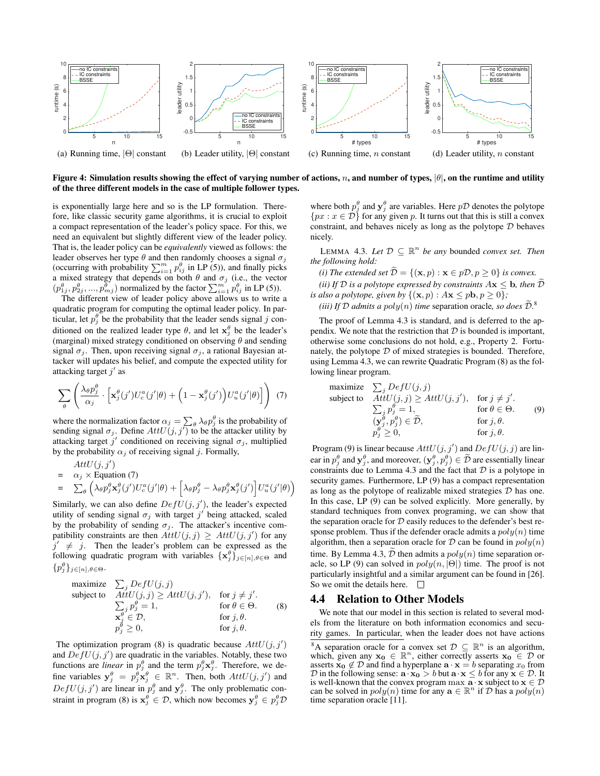

Figure 4: Simulation results showing the effect of varying number of actions, n, and number of types,  $|\theta|$ , on the runtime and utility of the three different models in the case of multiple follower types.

is exponentially large here and so is the LP formulation. Therefore, like classic security game algorithms, it is crucial to exploit a compact representation of the leader's policy space. For this, we need an equivalent but slightly different view of the leader policy. That is, the leader policy can be *equivalently* viewed as follows: the leader observes her type  $\theta$  and then randomly chooses a signal  $\sigma_i$ (occurring with probability  $\sum_{i=1}^{m} p_{ij}^{\theta}$  in LP (5)), and finally picks a mixed strategy that depends on both  $\theta$  and  $\sigma_j$  (i.e., the vector  $(p_{1j}^{\theta}, p_{2j}^{\theta}, ..., p_{mj}^{\theta})$  normalized by the factor  $\sum_{i=1}^{m} p_{ij}^{\theta}$  in LP (5)).

The different view of leader policy above allows us to write a quadratic program for computing the optimal leader policy. In particular, let  $p_j^{\theta}$  be the probability that the leader sends signal j conditioned on the realized leader type  $\theta$ , and let  $\mathbf{x}_{j}^{\theta}$  be the leader's (marginal) mixed strategy conditioned on observing  $\theta$  and sending signal  $\sigma_j$ . Then, upon receiving signal  $\sigma_j$ , a rational Bayesian attacker will updates his belief, and compute the expected utility for attacking target  $j'$  as

$$
\sum_{\theta} \left( \frac{\lambda_{\theta} p_j^{\theta}}{\alpha_j} \cdot \left[ \mathbf{x}_j^{\theta}(j') U_c^a(j'|\theta) + \left( 1 - \mathbf{x}_j^{\theta}(j') \right) U_u^a(j'|\theta) \right] \right) (7)
$$

where the normalization factor  $\alpha_j = \sum_{\theta} \lambda_{\theta} p_j^{\theta}$  is the probability of sending signal  $\sigma_j$ . Define  $AttU(j, j')$  to be the attacker utility by attacking target j' conditioned on receiving signal  $\sigma_j$ , multiplied by the probability  $\alpha_j$  of receiving signal j. Formally,

$$
AttU(j, j') = \alpha_j \times \text{Equation (7)}
$$
  
=  $\sum_{\theta} \left( \lambda_{\theta} p_j^{\theta} \mathbf{x}_j^{\theta}(j') U_c^a(j'|\theta) + \left[ \lambda_{\theta} p_j^{\theta} - \lambda_{\theta} p_j^{\theta} \mathbf{x}_j^{\theta}(j') \right] U_u^a(j'|\theta) \right)$ 

Similarly, we can also define  $DefU(j, j')$ , the leader's expected utility of sending signal  $\sigma_j$  with target  $j'$  being attacked, scaled by the probability of sending  $\sigma_i$ . The attacker's incentive compatibility constraints are then  $AttU(j, j) \geq AttU(j, j')$  for any  $j' \neq j$ . Then the leader's problem can be expressed as the following quadratic program with variables  $\{x_j^{\theta}\}_{j\in[n],\theta\in\Theta}$  and  $\{p_j^{\theta}\}_{j\in[n],\theta\in\Theta}$ .

maximize 
$$
\sum_{j} DefU(j, j)
$$
  
\nsubject to  $AttU(j, j) \geq AttU(j, j')$ , for  $j \neq j'$ .  
\n $\sum_{j} p_{j}^{\theta} = 1$ , for  $\theta \in \Theta$ . (8)  
\n $\mathbf{x}_{j}^{\theta} \in \mathcal{D}$ , for  $j, \theta$ .  
\n $p_{j}^{\theta} \geq 0$ , for  $j, \theta$ .

The optimization program (8) is quadratic because  $AttU(j, j')$ and  $DefU(j, j')$  are quadratic in the variables. Notably, these two functions are *linear* in  $p_j^{\theta}$  and the term  $p_j^{\theta} \mathbf{x}_j^{\theta}$ . Therefore, we define variables  $y_j^{\theta} = p_j^{\theta} x_j^{\theta} \in \mathbb{R}^n$ . Then, both  $AttU(j, j')$  and  $DefU(j, j')$  are linear in  $p_j^{\theta}$  and  $y_j^{\theta}$ . The only problematic constraint in program (8) is  $x_j^{\theta} \in \mathcal{D}$ , which now becomes  $y_j^{\theta} \in p_j^{\theta} \mathcal{D}$ 

where both  $p_j^{\theta}$  and  $\mathbf{y}_j^{\theta}$  are variables. Here  $p\mathcal{D}$  denotes the polytope  $\{px : x \in \overrightarrow{D}\}\$  for any given p. It turns out that this is still a convex constraint, and behaves nicely as long as the polytope  $D$  behaves nicely.

LEMMA 4.3. Let  $D \subseteq \mathbb{R}^n$  be any bounded *convex set. Then the following hold:*

*(i) The extended set*  $\tilde{\mathcal{D}} = \{(\mathbf{x}, p) : \mathbf{x} \in p\mathcal{D}, p \ge 0\}$  *is convex. (ii)* If  $D$  *is a polytope expressed by constraints*  $A\mathbf{x} \leq \mathbf{b}$ *, then*  $\widetilde{D}$ *is also a polytope, given by*  $\{(\mathbf{x}, p) : A\mathbf{x} \leq p\mathbf{b}, p \geq 0\}$ ;

*(iii) If*  $D$  *admits a*  $poly(n)$  *time* separation oracle, so does  $\tilde{D}$ <sup>8</sup>.

The proof of Lemma 4.3 is standard, and is deferred to the appendix. We note that the restriction that  $D$  is bounded is important, otherwise some conclusions do not hold, e.g., Property 2. Fortunately, the polytope  $D$  of mixed strategies is bounded. Therefore, using Lemma 4.3, we can rewrite Quadratic Program (8) as the following linear program.

maximize 
$$
\sum_{j} DefU(j, j)
$$
  
\nsubject to  $AttU(j, j) \geq AttU(j, j')$ , for  $j \neq j'$ .  
\n $\sum_{j} p_{j}^{\theta} = 1$ , for  $\theta \in \Theta$ . (9)  
\n $(\mathbf{y}_{j}^{\theta}, p_{j}^{\theta}) \in \widetilde{\mathcal{D}}$ , for  $j, \theta$ .  
\n $p_{j}^{\theta} \geq 0$ , for  $j, \theta$ .

Program (9) is linear because  $AttU(j, j')$  and  $DefU(j, j)$  are linear in  $p_j^{\theta}$  and  $\mathbf{y}_j^{\theta}$ , and moreover,  $(\mathbf{y}_j^{\theta}, p_j^{\theta}) \in \tilde{\mathcal{D}}$  are essentially linear constraints due to Lemma 4.3 and the fact that  $D$  is a polytope in security games. Furthermore, LP (9) has a compact representation as long as the polytope of realizable mixed strategies  $D$  has one. In this case, LP (9) can be solved explicitly. More generally, by standard techniques from convex programing, we can show that the separation oracle for  $D$  easily reduces to the defender's best response problem. Thus if the defender oracle admits a  $poly(n)$  time algorithm, then a separation oracle for  $D$  can be found in  $poly(n)$ time. By Lemma 4.3,  $\tilde{\mathcal{D}}$  then admits a  $poly(n)$  time separation oracle, so LP (9) can solved in  $poly(n, |\Theta|)$  time. The proof is not particularly insightful and a similar argument can be found in [26]. So we omit the details here.  $\Box$ 

#### 4.4 Relation to Other Models

We note that our model in this section is related to several models from the literature on both information economics and security games. In particular, when the leader does not have actions

<sup>&</sup>lt;sup>8</sup>A separation oracle for a convex set  $\mathcal{D} \subseteq \mathbb{R}^n$  is an algorithm, which, given any  $\mathbf{x_0} \in \mathbb{R}^n$ , either correctly asserts  $\mathbf{x_0} \in \mathcal{D}$  or asserts  $\mathbf{x_0} \notin \mathcal{D}$  and find a hyperplane  $\mathbf{a} \cdot \mathbf{x} = b$  separating  $x_0$  from  $D$  in the following sense:  $\mathbf{a} \cdot \mathbf{x_0} > b$  but  $\mathbf{a} \cdot \mathbf{x} \leq b$  for any  $\mathbf{x} \in D$ . It is well-known that the convex program max  $\mathbf{a} \cdot \mathbf{x}$  subject to  $\mathbf{x} \in \mathcal{D}$  can be solved in  $poly(n)$  time for any  $\mathbf{a} \in \mathbb{R}^n$  if  $\mathcal{D}$  has a  $poly(n)$ time separation oracle [11].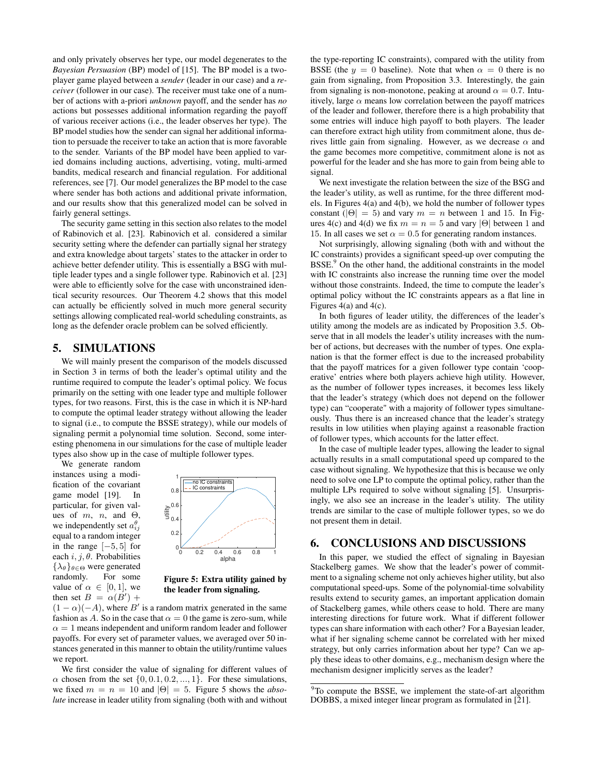and only privately observes her type, our model degenerates to the *Bayesian Persuasion* (BP) model of [15]. The BP model is a twoplayer game played between a *sender* (leader in our case) and a *receiver* (follower in our case). The receiver must take one of a number of actions with a-priori *unknown* payoff, and the sender has *no* actions but possesses additional information regarding the payoff of various receiver actions (i.e., the leader observes her type). The BP model studies how the sender can signal her additional information to persuade the receiver to take an action that is more favorable to the sender. Variants of the BP model have been applied to varied domains including auctions, advertising, voting, multi-armed bandits, medical research and financial regulation. For additional references, see [7]. Our model generalizes the BP model to the case where sender has both actions and additional private information, and our results show that this generalized model can be solved in fairly general settings.

The security game setting in this section also relates to the model of Rabinovich et al. [23]. Rabinovich et al. considered a similar security setting where the defender can partially signal her strategy and extra knowledge about targets' states to the attacker in order to achieve better defender utility. This is essentially a BSG with multiple leader types and a single follower type. Rabinovich et al. [23] were able to efficiently solve for the case with unconstrained identical security resources. Our Theorem 4.2 shows that this model can actually be efficiently solved in much more general security settings allowing complicated real-world scheduling constraints, as long as the defender oracle problem can be solved efficiently.

#### 5. SIMULATIONS

We will mainly present the comparison of the models discussed in Section 3 in terms of both the leader's optimal utility and the runtime required to compute the leader's optimal policy. We focus primarily on the setting with one leader type and multiple follower types, for two reasons. First, this is the case in which it is NP-hard to compute the optimal leader strategy without allowing the leader to signal (i.e., to compute the BSSE strategy), while our models of signaling permit a polynomial time solution. Second, some interesting phenomena in our simulations for the case of multiple leader types also show up in the case of multiple follower types.

We generate random instances using a modification of the covariant game model [19]. In particular, for given values of m, n, and  $\Theta$ , we independently set  $a_{ij}^{\theta}$ equal to a random integer in the range  $[-5, 5]$  for each  $i$ ,  $j$ ,  $\theta$ . Probabilities  $\{\lambda_\theta\}_{\theta \in \Theta}$  were generated randomly. For some value of  $\alpha \in [0, 1]$ , we then set  $B = \alpha(B')$  +



Figure 5: Extra utility gained by the leader from signaling.

 $(1 - \alpha)(-A)$ , where B' is a random matrix generated in the same fashion as A. So in the case that  $\alpha = 0$  the game is zero-sum, while  $\alpha = 1$  means independent and uniform random leader and follower payoffs. For every set of parameter values, we averaged over 50 instances generated in this manner to obtain the utility/runtime values we report.

We first consider the value of signaling for different values of  $\alpha$  chosen from the set  $\{0, 0.1, 0.2, ..., 1\}$ . For these simulations, we fixed  $m = n = 10$  and  $|\Theta| = 5$ . Figure 5 shows the *absolute* increase in leader utility from signaling (both with and without the type-reporting IC constraints), compared with the utility from BSSE (the  $y = 0$  baseline). Note that when  $\alpha = 0$  there is no gain from signaling, from Proposition 3.3. Interestingly, the gain from signaling is non-monotone, peaking at around  $\alpha = 0.7$ . Intuitively, large  $\alpha$  means low correlation between the payoff matrices of the leader and follower, therefore there is a high probability that some entries will induce high payoff to both players. The leader can therefore extract high utility from commitment alone, thus derives little gain from signaling. However, as we decrease  $\alpha$  and the game becomes more competitive, commitment alone is not as powerful for the leader and she has more to gain from being able to signal.

We next investigate the relation between the size of the BSG and the leader's utility, as well as runtime, for the three different models. In Figures 4(a) and 4(b), we hold the number of follower types constant ( $|\Theta| = 5$ ) and vary  $m = n$  between 1 and 15. In Figures 4(c) and 4(d) we fix  $m = n = 5$  and vary  $|\Theta|$  between 1 and 15. In all cases we set  $\alpha = 0.5$  for generating random instances.

Not surprisingly, allowing signaling (both with and without the IC constraints) provides a significant speed-up over computing the BSSE.<sup>9</sup> On the other hand, the additional constraints in the model with IC constraints also increase the running time over the model without those constraints. Indeed, the time to compute the leader's optimal policy without the IC constraints appears as a flat line in Figures 4(a) and 4(c).

In both figures of leader utility, the differences of the leader's utility among the models are as indicated by Proposition 3.5. Observe that in all models the leader's utility increases with the number of actions, but decreases with the number of types. One explanation is that the former effect is due to the increased probability that the payoff matrices for a given follower type contain 'cooperative' entries where both players achieve high utility. However, as the number of follower types increases, it becomes less likely that the leader's strategy (which does not depend on the follower type) can "cooperate" with a majority of follower types simultaneously. Thus there is an increased chance that the leader's strategy results in low utilities when playing against a reasonable fraction of follower types, which accounts for the latter effect.

In the case of multiple leader types, allowing the leader to signal actually results in a small computational speed up compared to the case without signaling. We hypothesize that this is because we only need to solve one LP to compute the optimal policy, rather than the multiple LPs required to solve without signaling [5]. Unsurprisingly, we also see an increase in the leader's utility. The utility trends are similar to the case of multiple follower types, so we do not present them in detail.

# 6. CONCLUSIONS AND DISCUSSIONS

In this paper, we studied the effect of signaling in Bayesian Stackelberg games. We show that the leader's power of commitment to a signaling scheme not only achieves higher utility, but also computational speed-ups. Some of the polynomial-time solvability results extend to security games, an important application domain of Stackelberg games, while others cease to hold. There are many interesting directions for future work. What if different follower types can share information with each other? For a Bayesian leader, what if her signaling scheme cannot be correlated with her mixed strategy, but only carries information about her type? Can we apply these ideas to other domains, e.g., mechanism design where the mechanism designer implicitly serves as the leader?

<sup>&</sup>lt;sup>9</sup>To compute the BSSE, we implement the state-of-art algorithm DOBBS, a mixed integer linear program as formulated in [21].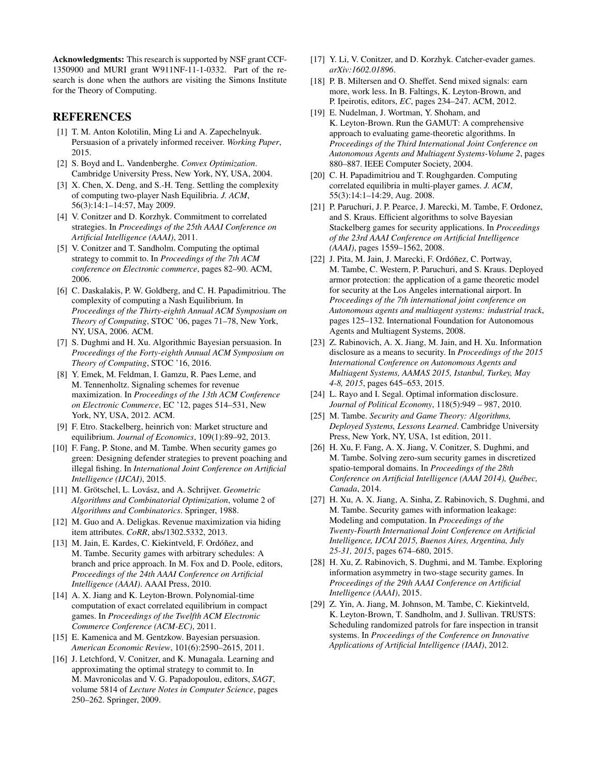Acknowledgments: This research is supported by NSF grant CCF-1350900 and MURI grant W911NF-11-1-0332. Part of the research is done when the authors are visiting the Simons Institute for the Theory of Computing.

# **REFERENCES**

- [1] T. M. Anton Kolotilin, Ming Li and A. Zapechelnyuk. Persuasion of a privately informed receiver. *Working Paper*, 2015.
- [2] S. Boyd and L. Vandenberghe. *Convex Optimization*. Cambridge University Press, New York, NY, USA, 2004.
- [3] X. Chen, X. Deng, and S.-H. Teng. Settling the complexity of computing two-player Nash Equilibria. *J. ACM*, 56(3):14:1–14:57, May 2009.
- [4] V. Conitzer and D. Korzhyk. Commitment to correlated strategies. In *Proceedings of the 25th AAAI Conference on Artificial Intelligence (AAAI)*, 2011.
- [5] V. Conitzer and T. Sandholm. Computing the optimal strategy to commit to. In *Proceedings of the 7th ACM conference on Electronic commerce*, pages 82–90. ACM, 2006.
- [6] C. Daskalakis, P. W. Goldberg, and C. H. Papadimitriou. The complexity of computing a Nash Equilibrium. In *Proceedings of the Thirty-eighth Annual ACM Symposium on Theory of Computing*, STOC '06, pages 71–78, New York, NY, USA, 2006. ACM.
- [7] S. Dughmi and H. Xu. Algorithmic Bayesian persuasion. In *Proceedings of the Forty-eighth Annual ACM Symposium on Theory of Computing*, STOC '16, 2016.
- [8] Y. Emek, M. Feldman, I. Gamzu, R. Paes Leme, and M. Tennenholtz. Signaling schemes for revenue maximization. In *Proceedings of the 13th ACM Conference on Electronic Commerce*, EC '12, pages 514–531, New York, NY, USA, 2012. ACM.
- [9] F. Etro. Stackelberg, heinrich von: Market structure and equilibrium. *Journal of Economics*, 109(1):89–92, 2013.
- [10] F. Fang, P. Stone, and M. Tambe. When security games go green: Designing defender strategies to prevent poaching and illegal fishing. In *International Joint Conference on Artificial Intelligence (IJCAI)*, 2015.
- [11] M. Grötschel, L. Lovász, and A. Schrijver. *Geometric Algorithms and Combinatorial Optimization*, volume 2 of *Algorithms and Combinatorics*. Springer, 1988.
- [12] M. Guo and A. Deligkas. Revenue maximization via hiding item attributes. *CoRR*, abs/1302.5332, 2013.
- [13] M. Jain, E. Kardes, C. Kiekintveld, F. Ordóñez, and M. Tambe. Security games with arbitrary schedules: A branch and price approach. In M. Fox and D. Poole, editors, *Proceedings of the 24th AAAI Conference on Artificial Intelligence (AAAI)*. AAAI Press, 2010.
- [14] A. X. Jiang and K. Leyton-Brown. Polynomial-time computation of exact correlated equilibrium in compact games. In *Proceedings of the Twelfth ACM Electronic Commerce Conference (ACM-EC)*, 2011.
- [15] E. Kamenica and M. Gentzkow. Bayesian persuasion. *American Economic Review*, 101(6):2590–2615, 2011.
- [16] J. Letchford, V. Conitzer, and K. Munagala. Learning and approximating the optimal strategy to commit to. In M. Mavronicolas and V. G. Papadopoulou, editors, *SAGT*, volume 5814 of *Lecture Notes in Computer Science*, pages 250–262. Springer, 2009.
- [17] Y. Li, V. Conitzer, and D. Korzhyk. Catcher-evader games. *arXiv:1602.01896*.
- [18] P. B. Miltersen and O. Sheffet. Send mixed signals: earn more, work less. In B. Faltings, K. Leyton-Brown, and P. Ipeirotis, editors, *EC*, pages 234–247. ACM, 2012.
- [19] E. Nudelman, J. Wortman, Y. Shoham, and K. Leyton-Brown. Run the GAMUT: A comprehensive approach to evaluating game-theoretic algorithms. In *Proceedings of the Third International Joint Conference on Autonomous Agents and Multiagent Systems-Volume 2*, pages 880–887. IEEE Computer Society, 2004.
- [20] C. H. Papadimitriou and T. Roughgarden. Computing correlated equilibria in multi-player games. *J. ACM*, 55(3):14:1–14:29, Aug. 2008.
- [21] P. Paruchuri, J. P. Pearce, J. Marecki, M. Tambe, F. Ordonez, and S. Kraus. Efficient algorithms to solve Bayesian Stackelberg games for security applications. In *Proceedings of the 23rd AAAI Conference on Artificial Intelligence (AAAI)*, pages 1559–1562, 2008.
- [22] J. Pita, M. Jain, J. Marecki, F. Ordóñez, C. Portway, M. Tambe, C. Western, P. Paruchuri, and S. Kraus. Deployed armor protection: the application of a game theoretic model for security at the Los Angeles international airport. In *Proceedings of the 7th international joint conference on Autonomous agents and multiagent systems: industrial track*, pages 125–132. International Foundation for Autonomous Agents and Multiagent Systems, 2008.
- [23] Z. Rabinovich, A. X. Jiang, M. Jain, and H. Xu. Information disclosure as a means to security. In *Proceedings of the 2015 International Conference on Autonomous Agents and Multiagent Systems, AAMAS 2015, Istanbul, Turkey, May 4-8, 2015*, pages 645–653, 2015.
- [24] L. Rayo and I. Segal. Optimal information disclosure. *Journal of Political Economy*, 118(5):949 – 987, 2010.
- [25] M. Tambe. *Security and Game Theory: Algorithms, Deployed Systems, Lessons Learned*. Cambridge University Press, New York, NY, USA, 1st edition, 2011.
- [26] H. Xu, F. Fang, A. X. Jiang, V. Conitzer, S. Dughmi, and M. Tambe. Solving zero-sum security games in discretized spatio-temporal domains. In *Proceedings of the 28th Conference on Artificial Intelligence (AAAI 2014), Québec, Canada*, 2014.
- [27] H. Xu, A. X. Jiang, A. Sinha, Z. Rabinovich, S. Dughmi, and M. Tambe. Security games with information leakage: Modeling and computation. In *Proceedings of the Twenty-Fourth International Joint Conference on Artificial Intelligence, IJCAI 2015, Buenos Aires, Argentina, July 25-31, 2015*, pages 674–680, 2015.
- [28] H. Xu, Z. Rabinovich, S. Dughmi, and M. Tambe. Exploring information asymmetry in two-stage security games. In *Proceedings of the 29th AAAI Conference on Artificial Intelligence (AAAI)*, 2015.
- [29] Z. Yin, A. Jiang, M. Johnson, M. Tambe, C. Kiekintveld, K. Leyton-Brown, T. Sandholm, and J. Sullivan. TRUSTS: Scheduling randomized patrols for fare inspection in transit systems. In *Proceedings of the Conference on Innovative Applications of Artificial Intelligence (IAAI)*, 2012.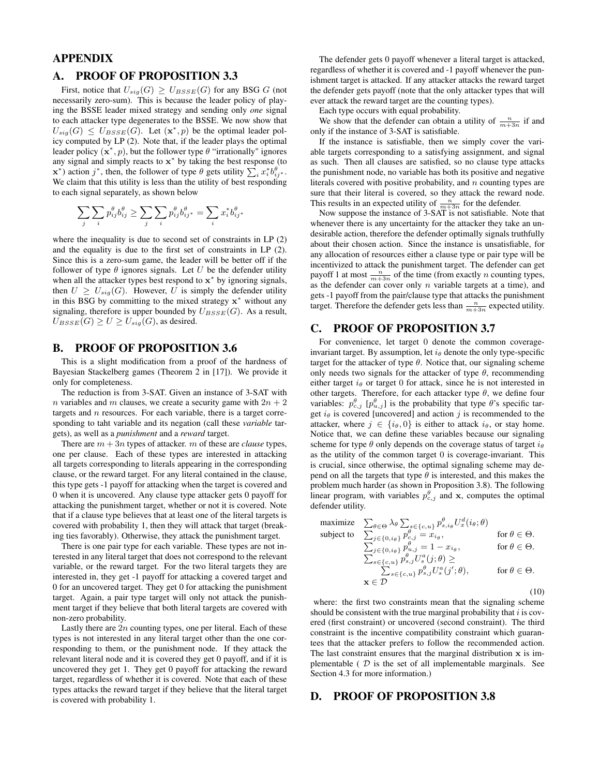# APPENDIX

# A. PROOF OF PROPOSITION 3.3

First, notice that  $U_{sig}(G) \geq U_{BSSE}(G)$  for any BSG G (not necessarily zero-sum). This is because the leader policy of playing the BSSE leader mixed strategy and sending only *one* signal to each attacker type degenerates to the BSSE. We now show that  $U_{sig}(G) \leq U_{BSSE}(G)$ . Let  $(\mathbf{x}^*, p)$  be the optimal leader policy computed by LP (2). Note that, if the leader plays the optimal leader policy  $(x^*, p)$ , but the follower type  $\theta$  "irrationally" ignores any signal and simply reacts to  $x^*$  by taking the best response (to  $\mathbf{x}^*$ ) action j<sup>\*</sup>, then, the follower of type  $\theta$  gets utility  $\sum_i x_i^* b_{ij^*}^{\theta}$ . We claim that this utility is less than the utility of best responding to each signal separately, as shown below

$$
\sum_j \sum_i p_{ij}^\theta b_{ij}^\theta \geq \sum_j \sum_i p_{ij}^\theta b_{ij^*}^\theta = \sum_i x_i^* b_{ij^*}^\theta
$$

where the inequality is due to second set of constraints in LP (2) and the equality is due to the first set of constraints in LP (2). Since this is a zero-sum game, the leader will be better off if the follower of type  $\theta$  ignores signals. Let U be the defender utility when all the attacker types best respond to  $x^*$  by ignoring signals, then  $U \geq U_{sig}(G)$ . However, U is simply the defender utility in this BSG by committing to the mixed strategy  $x^*$  without any signaling, therefore is upper bounded by  $U_{BSSE}(G)$ . As a result,  $U_{BSSE}(G) \ge U \ge U_{sig}(G)$ , as desired.

# B. PROOF OF PROPOSITION 3.6

This is a slight modification from a proof of the hardness of Bayesian Stackelberg games (Theorem 2 in [17]). We provide it only for completeness.

The reduction is from 3-SAT. Given an instance of 3-SAT with n variables and m clauses, we create a security game with  $2n + 2$ targets and  $n$  resources. For each variable, there is a target corresponding to taht variable and its negation (call these *variable* targets), as well as a *punishment* and a *reward* target.

There are  $m + 3n$  types of attacker. m of these are *clause* types, one per clause. Each of these types are interested in attacking all targets corresponding to literals appearing in the corresponding clause, or the reward target. For any literal contained in the clause, this type gets -1 payoff for attacking when the target is covered and 0 when it is uncovered. Any clause type attacker gets 0 payoff for attacking the punishment target, whether or not it is covered. Note that if a clause type believes that at least one of the literal targets is covered with probability 1, then they will attack that target (breaking ties favorably). Otherwise, they attack the punishment target.

There is one pair type for each variable. These types are not interested in any literal target that does not correspond to the relevant variable, or the reward target. For the two literal targets they are interested in, they get -1 payoff for attacking a covered target and 0 for an uncovered target. They get 0 for attacking the punishment target. Again, a pair type target will only not attack the punishment target if they believe that both literal targets are covered with non-zero probability.

Lastly there are  $2n$  counting types, one per literal. Each of these types is not interested in any literal target other than the one corresponding to them, or the punishment node. If they attack the relevant literal node and it is covered they get 0 payoff, and if it is uncovered they get 1. They get 0 payoff for attacking the reward target, regardless of whether it is covered. Note that each of these types attacks the reward target if they believe that the literal target is covered with probability 1.

The defender gets 0 payoff whenever a literal target is attacked, regardless of whether it is covered and -1 payoff whenever the punishment target is attacked. If any attacker attacks the reward target the defender gets payoff (note that the only attacker types that will ever attack the reward target are the counting types).

Each type occurs with equal probability.

We show that the defender can obtain a utility of  $\frac{n}{m+3n}$  if and only if the instance of 3-SAT is satisfiable.

If the instance is satisfiable, then we simply cover the variable targets corresponding to a satisfying assignment, and signal as such. Then all clauses are satisfied, so no clause type attacks the punishment node, no variable has both its positive and negative literals covered with positive probability, and  $n$  counting types are sure that their literal is covered, so they attack the reward node. This results in an expected utility of  $\frac{n}{m+3n}$  for the defender.

Now suppose the instance of 3-SAT is not satisfiable. Note that whenever there is any uncertainty for the attacker they take an undesirable action, therefore the defender optimally signals truthfully about their chosen action. Since the instance is unsatisfiable, for any allocation of resources either a clause type or pair type will be incentivized to attack the punishment target. The defender can get payoff 1 at most  $\frac{n}{m+3n}$  of the time (from exactly *n* counting types, as the defender can cover only  $n$  variable targets at a time), and gets -1 payoff from the pair/clause type that attacks the punishment target. Therefore the defender gets less than  $\frac{n}{m+3n}$  expected utility.

#### C. PROOF OF PROPOSITION 3.7

For convenience, let target 0 denote the common coverageinvariant target. By assumption, let  $i_{\theta}$  denote the only type-specific target for the attacker of type  $\theta$ . Notice that, our signaling scheme only needs two signals for the attacker of type  $\theta$ , recommending either target  $i_{\theta}$  or target 0 for attack, since he is not interested in other targets. Therefore, for each attacker type  $\theta$ , we define four variables:  $p_{c,j}^{\theta}$  [ $p_{u,j}^{\theta}$ ] is the probability that type  $\theta$ 's specific target  $i_{\theta}$  is covered [uncovered] and action j is recommended to the attacker, where  $j \in \{i_{\theta}, 0\}$  is either to attack  $i_{\theta}$ , or stay home. Notice that, we can define these variables because our signaling scheme for type  $\theta$  only depends on the coverage status of target  $i_{\theta}$ as the utility of the common target 0 is coverage-invariant. This is crucial, since otherwise, the optimal signaling scheme may depend on all the targets that type  $\theta$  is interested, and this makes the problem much harder (as shown in Proposition 3.8). The following linear program, with variables  $p_{c,j}^{\theta}$  and x, computes the optimal defender utility.

maximize 
$$
\sum_{\theta \in \Theta} \lambda_{\theta} \sum_{s \in \{c, u\}} p_{s, i_{\theta}}^{\theta} U_x^d(i_{\theta}; \theta)
$$
  
\nsubject to  $\sum_{j \in \{0, i_{\theta}\}} p_{c,j}^{\theta} = x_{i_{\theta}},$  for  $\theta \in \Theta$ .  
\n $\sum_{j \in \{0, i_{\theta}\}} p_{u,j}^{\theta} = 1 - x_{i_{\theta}},$  for  $\theta \in \Theta$ .  
\n $\sum_{s \in \{c, u\}} p_{s,j}^{\theta} U_s^a(j; \theta) \ge$   
\n $\sum_{s \in \{c, u\}} p_{s,j}^{\theta} U_s^a(j'; \theta),$  for  $\theta \in \Theta$ .  
\n $\mathbf{x} \in \mathcal{D}$  (10)

where: the first two constraints mean that the signaling scheme should be consistent with the true marginal probability that  $i$  is covered (first constraint) or uncovered (second constraint). The third constraint is the incentive compatibility constraint which guarantees that the attacker prefers to follow the recommended action. The last constraint ensures that the marginal distribution x is implementable ( $D$  is the set of all implementable marginals. See Section 4.3 for more information.)

# D. PROOF OF PROPOSITION 3.8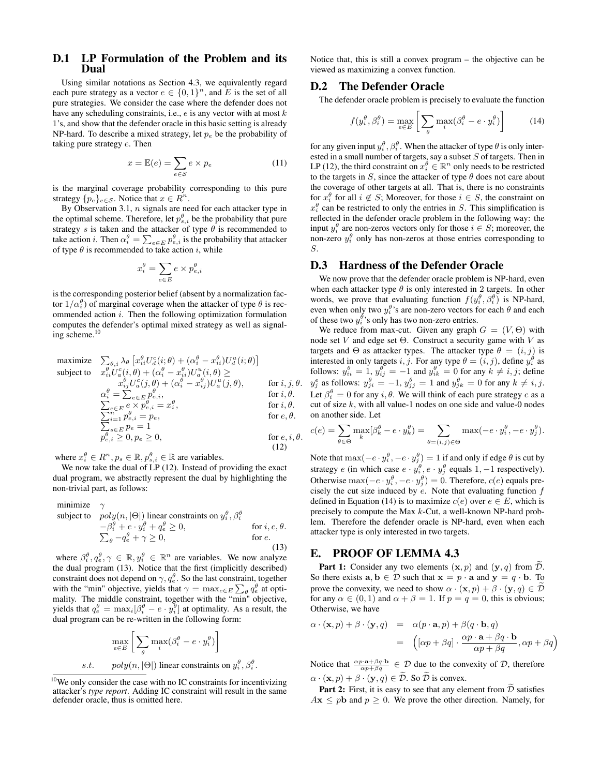#### D.1 LP Formulation of the Problem and its Dual

Using similar notations as Section 4.3, we equivalently regard each pure strategy as a vector  $e \in \{0,1\}^n$ , and E is the set of all pure strategies. We consider the case where the defender does not have any scheduling constraints, i.e.,  $e$  is any vector with at most  $k$ 1's, and show that the defender oracle in this basic setting is already NP-hard. To describe a mixed strategy, let  $p_e$  be the probability of taking pure strategy e. Then

$$
x = \mathbb{E}(e) = \sum_{e \in \mathcal{S}} e \times p_e \tag{11}
$$

is the marginal coverage probability corresponding to this pure strategy  $\{p_e\}_{e \in \mathcal{S}}$ . Notice that  $x \in \mathbb{R}^n$ .

By Observation 3.1,  $n$  signals are need for each attacker type in the optimal scheme. Therefore, let  $p_{s,i}^{\theta}$  be the probability that pure strategy s is taken and the attacker of type  $\theta$  is recommended to take action *i*. Then  $\alpha_i^{\theta} = \sum_{e \in E} p_{e,i}^{\theta}$  is the probability that attacker of type  $\theta$  is recommended to take action i, while

$$
x_i^{\theta} = \sum_{e \in E} e \times p_{e,i}^{\theta}
$$

is the corresponding posterior belief (absent by a normalization factor  $1/\alpha_i^{\theta}$ ) of marginal coverage when the attacker of type  $\theta$  is recommended action  $i$ . Then the following optimization formulation computes the defender's optimal mixed strategy as well as signaling scheme.<sup>10</sup>

$$
\begin{array}{ll}\text{maximize} & \sum_{\theta,i} \lambda_{\theta} \left[ x_{ii}^{\theta} U_{a}^{c}(i;\theta) + (\alpha_{i}^{\theta} - x_{ii}^{\theta}) U_{a}^{u}(i;\theta) \right] \\ \text{subject to} & x_{ii}^{\theta} U_{a}^{c}(i;\theta) + (\alpha_{i}^{\theta} - x_{ii}^{\theta}) U_{a}^{u}(i;\theta) \geq \\ & x_{ij}^{\theta} U_{a}^{c}(j;\theta) + (\alpha_{i}^{\theta} - x_{ij}^{\theta}) U_{a}^{u}(j;\theta), \qquad \text{for } i, j, \theta. \\ & \alpha_{i}^{\theta} = \sum_{e \in E} p_{e,i}^{\theta}, \qquad \text{for } i, \theta. \\ & \sum_{i=1}^{\theta} p_{e,i}^{e} = p_{e}, \qquad \text{for } i, \theta. \\ & \sum_{i=1}^{\pi} p_{e,i}^{\theta} = p_{e}, \qquad \text{for } e, \theta. \\ & \sum_{s \in E} p_{e} = 1 \\ & p_{e,i}^{\theta} \geq 0, p_{e} \geq 0, \qquad \text{for } e, i, \theta. \end{array}
$$

(12)

.

where  $x_i^{\theta} \in R^n$ ,  $p_s \in \mathbb{R}$ ,  $p_{s,i}^{\theta} \in \mathbb{R}$  are variables.

We now take the dual of LP (12). Instead of providing the exact dual program, we abstractly represent the dual by highlighting the non-trivial part, as follows:

minimize 
$$
\gamma
$$
  
\nsubject to  $poly(n, |\Theta|)$  linear constraints on  $y_i^{\theta}, \beta_i^{\theta}$   
\n $-\beta_i^{\theta} + e \cdot y_i^{\theta} + q_e^{\theta} \ge 0$ , for *i, e, \theta*.  
\n $\sum_{\theta} -q_e^{\theta} + \gamma \ge 0$ , for *e*. (13)

where  $\beta_i^{\theta}, q_e^{\theta}, \gamma \in \mathbb{R}, y_i^{\theta} \in \mathbb{R}^n$  are variables. We now analyze the dual program (13). Notice that the first (implicitly described) constraint does not depend on  $\gamma, q_e^{\theta}$ . So the last constraint, together with the "min" objective, yields that  $\gamma = \max_{e \in E} \sum_{\theta} q_e^{\theta}$  at optimality. The middle constraint, together with the "min" objective, yields that  $q_e^{\theta} = \max_i [\beta_i^{\theta} - e \cdot y_i^{\theta}]$  at optimality. As a result, the dual program can be re-written in the following form:

$$
\max_{e \in E} \left[ \sum_{\theta} \max_{i} (\beta_i^{\theta} - e \cdot y_i^{\theta}) \right]
$$
  
s.t.  $poly(n, |\Theta|)$  linear constraints on  $y_i^{\theta}, \beta_i^{\theta}$ 

Notice that, this is still a convex program – the objective can be viewed as maximizing a convex function.

#### D.2 The Defender Oracle

The defender oracle problem is precisely to evaluate the function

$$
f(y_i^{\theta}, \beta_i^{\theta}) = \max_{e \in E} \left[ \sum_{\theta} \max_i (\beta_i^{\theta} - e \cdot y_i^{\theta}) \right]
$$
(14)

for any given input  $y_i^{\theta}, \beta_i^{\theta}$ . When the attacker of type  $\theta$  is only interested in a small number of targets, say a subset S of targets. Then in LP (12), the third constraint on  $x_i^{\theta} \in \mathbb{R}^n$  only needs to be restricted to the targets in  $S$ , since the attacker of type  $\theta$  does not care about the coverage of other targets at all. That is, there is no constraints for  $x_i^{\theta}$  for all  $i \notin S$ ; Moreover, for those  $i \in S$ , the constraint on  $x_i^{\theta}$  can be restricted to only the entries in S. This simplification is reflected in the defender oracle problem in the following way: the input  $y_i^{\theta}$  are non-zeros vectors only for those  $i \in S$ ; moreover, the non-zero  $y_i^{\theta}$  only has non-zeros at those entries corresponding to S.

#### D.3 Hardness of the Defender Oracle

We now prove that the defender oracle problem is NP-hard, even when each attacker type  $\theta$  is only interested in 2 targets. In other words, we prove that evaluating function  $f(y_i^{\theta}, \beta_i^{\theta})$  is NP-hard, even when only two  $y_i^{\theta}$ 's are non-zero vectors for each  $\theta$  and each of these two  $y_i^{\theta}$ 's only has two non-zero entries.

We reduce from max-cut. Given any graph  $G = (V, \Theta)$  with node set *V* and edge set  $Θ$ . Construct a security game with *V* as targets and  $\Theta$  as attacker types. The attacker type  $\theta = (i, j)$  is interested in only targets i, j. For any type  $\theta = (i, j)$ , define  $y_i^{\theta}$  as follows:  $y_{ii}^{\theta} = 1$ ,  $y_{ij}^{\theta} = -1$  and  $y_{ik}^{\theta} = 0$  for any  $k \neq i, j$ ; define  $y_j^e$  as follows:  $y_{ji}^{\theta} = -1$ ,  $y_{jj}^{\theta} = 1$  and  $y_{jk}^{\theta} = 0$  for any  $k \neq i, j$ . Let  $\beta_i^{\theta} = 0$  for any  $i, \theta$ . We will think of each pure strategy e as a cut of size  $k$ , with all value-1 nodes on one side and value-0 nodes on another side. Let

$$
c(e) = \sum_{\theta \in \Theta} \max_k [\beta_k^{\theta} - e \cdot y_k^{\theta}] = \sum_{\theta = (i,j) \in \Theta} \max(-e \cdot y_i^{\theta}, -e \cdot y_j^{\theta}).
$$

Note that  $\max(-e \cdot y_i^{\theta}, -e \cdot y_j^{\theta}) = 1$  if and only if edge  $\theta$  is cut by strategy *e* (in which case  $e \cdot y_i^{\theta}$ ,  $e \cdot y_j^{\theta}$  equals 1, -1 respectively). Otherwise max $(-e \cdot y_i^{\theta}, -e \cdot y_j^{\theta}) = 0$ . Therefore,  $c(e)$  equals precisely the cut size induced by  $e$ . Note that evaluating function  $f$ defined in Equation (14) is to maximize  $c(e)$  over  $e \in E$ , which is precisely to compute the Max k-Cut, a well-known NP-hard problem. Therefore the defender oracle is NP-hard, even when each attacker type is only interested in two targets.

#### E. PROOF OF LEMMA 4.3

**Part 1:** Consider any two elements  $(x, p)$  and  $(y, q)$  from  $\overline{\mathcal{D}}$ . So there exists  $\mathbf{a}, \mathbf{b} \in \mathcal{D}$  such that  $\mathbf{x} = p \cdot \mathbf{a}$  and  $\mathbf{y} = q \cdot \mathbf{b}$ . To prove the convexity, we need to show  $\alpha \cdot (\mathbf{x}, p) + \beta \cdot (\mathbf{y}, q) \in \mathcal{D}$ for any  $\alpha \in (0,1)$  and  $\alpha + \beta = 1$ . If  $p = q = 0$ , this is obvious; Otherwise, we have

$$
\alpha \cdot (\mathbf{x}, p) + \beta \cdot (\mathbf{y}, q) = \alpha(p \cdot \mathbf{a}, p) + \beta(q \cdot \mathbf{b}, q)
$$
  
= 
$$
\left( [\alpha p + \beta q] \cdot \frac{\alpha p \cdot \mathbf{a} + \beta q \cdot \mathbf{b}}{\alpha p + \beta q}, \alpha p + \beta q \right)
$$

Notice that  $\frac{\alpha p \cdot \mathbf{a} + \beta q \cdot \mathbf{b}}{\alpha p + \beta q} \in \mathcal{D}$  due to the convexity of  $\mathcal{D}$ , therefore  $\alpha \cdot (\mathbf{x}, p) + \beta \cdot (\mathbf{y}, q) \in \widetilde{\mathcal{D}}$ . So  $\widetilde{\mathcal{D}}$  is convex.

**Part 2:** First, it is easy to see that any element from  $\widetilde{\mathcal{D}}$  satisfies  $A\mathbf{x} \leq p\mathbf{b}$  and  $p \geq 0$ . We prove the other direction. Namely, for

<sup>10</sup>We only consider the case with no IC constraints for incentivizing attacker's *type report*. Adding IC constraint will result in the same defender oracle, thus is omitted here.